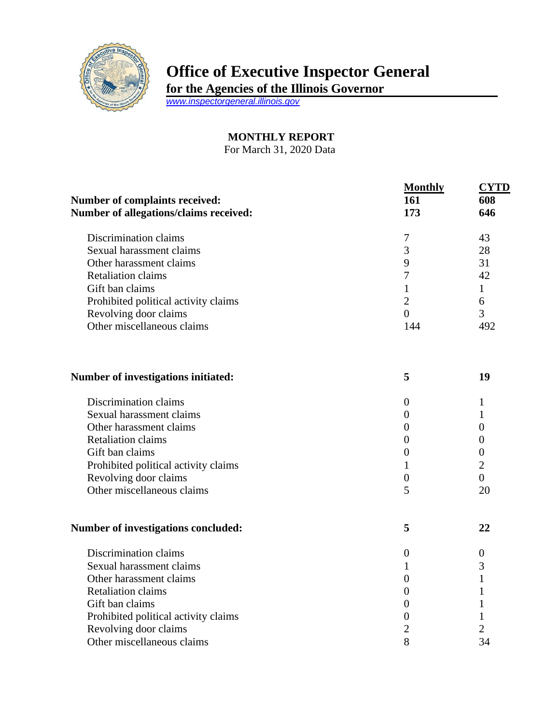

## **Office of Executive Inspector General**

**for the Agencies of the Illinois Governor**

*[www.inspectorgeneral.illinois.gov](http://www.inspectorgeneral.illinois.gov/)*

## **MONTHLY REPORT**

For March 31, 2020 Data

|                                               | <b>Monthly</b> | NTD |
|-----------------------------------------------|----------------|-----|
| <b>Number of complaints received:</b>         | 161            | 608 |
| <b>Number of allegations/claims received:</b> | 173            | 646 |
| Discrimination claims                         |                | 43  |
| Sexual harassment claims                      | 3              | 28  |
| Other harassment claims                       | 9              | 31  |
| <b>Retaliation claims</b>                     |                | 42  |
| Gift ban claims                               |                |     |
| Prohibited political activity claims          | 2              | 6   |
| Revolving door claims                         |                | 3   |
| Other miscellaneous claims                    | 144            | 492 |
| Number of investigations initiated:           | 5              | 19  |
|                                               |                |     |

| Discrimination claims                |  |
|--------------------------------------|--|
| Sexual harassment claims             |  |
| Other harassment claims              |  |
| Retaliation claims                   |  |
| Gift ban claims                      |  |
| Prohibited political activity claims |  |
| Revolving door claims                |  |
| Other miscellaneous claims           |  |

## **Number of investigations concluded: 5 22**

| Discrimination claims                |    |
|--------------------------------------|----|
| Sexual harassment claims             |    |
| Other harassment claims              |    |
| <b>Retaliation claims</b>            |    |
| Gift ban claims                      |    |
| Prohibited political activity claims |    |
| Revolving door claims                |    |
| Other miscellaneous claims           | 34 |